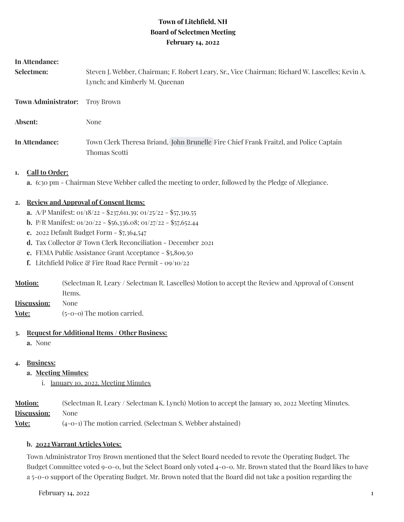# **Town of Litchfield, NH Board of Selectmen Meeting February 14, 2022**

#### **In Attendance:**

| Selectmen:                 | Steven J. Webber, Chairman; F. Robert Leary, Sr., Vice Chairman; Richard W. Lascelles; Kevin A.<br>Lynch; and Kimberly M. Queenan |
|----------------------------|-----------------------------------------------------------------------------------------------------------------------------------|
| <b>Town Administrator:</b> | Trov Brown                                                                                                                        |
| Absent:                    | None                                                                                                                              |
| In Attendance:             | Town Clerk Theresa Briand, John Brunelle Fire Chief Frank Fraitzl, and Police Captain<br>Thomas Scotti                            |

#### **1. Call to Order:**

**a.** 6:30 pm - Chairman Steve Webber called the meeting to order, followed by the Pledge of Allegiance.

### **2. Review and Approval of Consent Items:**

- **a.** A/P Manifest: 01/18/22 \$237,611.39; 01/25/22 \$57,319.55
- **b.** P/R Manifest: 01/20/22 \$56,336.08; 01/27/22 \$57,652.44
- **c.** 2022 Default Budget Form \$7,364,547
- d. Tax Collector & Town Clerk Reconciliation December 2021
- **e.** FEMA Public Assistance Grant Acceptance \$5,809.50
- **f.** Litchfield Police & Fire Road Race Permit 09/10/22
- **Motion:** (Selectman R. Leary / Selectman R. Lascelles) Motion to accept the Review and Approval of Consent Items.
- **Discussion:** None
- **Vote:**  $(5-0-0)$  The motion carried.

#### **3. Request for Additional Items / Other Business:**

**a.** None

#### **4. Business:**

- **a. Meeting Minutes:**
	- i. January 10, 2022, Meeting Minutes

**Motion:** (Selectman R. Leary / Selectman K. Lynch) Motion to accept the January 1o, 2022 Meeting Minutes. **Discussion:** None

**Vote:** (4-0-1) The motion carried. (Selectman S. Webber abstained)

#### **b. 2022 Warrant Articles Votes:**

Town Administrator Troy Brown mentioned that the Select Board needed to revote the Operating Budget. The Budget Committee voted 9-0-0, but the Select Board only voted 4-0-0. Mr. Brown stated that the Board likes to have a 5-0-0 support of the Operating Budget. Mr. Brown noted that the Board did not take a position regarding the

 $February$  14, 2022 1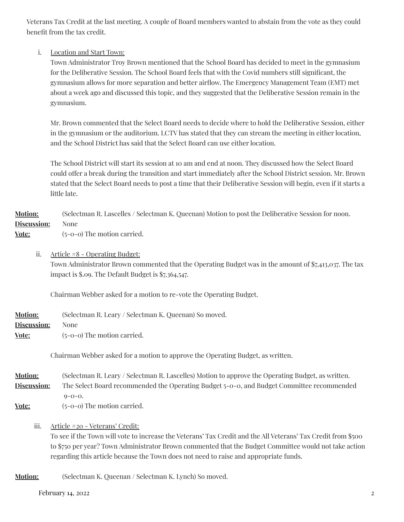Veterans Tax Credit at the last meeting. A couple of Board members wanted to abstain from the vote as they could benefit from the tax credit.

## i. Location and Start Town:

Town Administrator Troy Brown mentioned that the School Board has decided to meet in the gymnasium for the Deliberative Session. The School Board feels that with the Covid numbers still significant, the gymnasium allows for more separation and better airflow. The Emergency Management Team (EMT) met about a week ago and discussed this topic, and they suggested that the Deliberative Session remain in the gymnasium.

Mr. Brown commented that the Select Board needs to decide where to hold the Deliberative Session, either in the gymnasium or the auditorium. LCTV has stated that they can stream the meeting in either location, and the School District has said that the Select Board can use either location.

The School District will start its session at 10 am and end at noon. They discussed how the Select Board could offer a break during the transition and start immediately after the School District session. Mr. Brown stated that the Select Board needs to post a time that their Deliberative Session will begin, even if it starts a little late.

# **Motion:** (Selectman R. Lascelles / Selectman K. Queenan) Motion to post the Deliberative Session for noon. **Discussion:** None

**Vote:** (5-0-0) The motion carried.

ii. Article #8 - Operating Budget: Town Administrator Brown commented that the Operating Budget was in the amount of \$7,413,037. The tax impact is \$.09. The Default Budget is \$7,364,547.

Chairman Webber asked for a motion to re-vote the Operating Budget.

| <b>Motion:</b>                             | (Selectman R. Leary / Selectman K. Queenan) So moved. |
|--------------------------------------------|-------------------------------------------------------|
| <b>Discussion:</b>                         | None                                                  |
| $\mathbf{V}$ $\mathbf{V}$ and $\mathbf{V}$ | $\sim$ $\sim$ $\sim$ The continue commonly            |

**Vote:** (5-0-0) The motion carried.

Chairman Webber asked for a motion to approve the Operating Budget, as written.

**Motion:** (Selectman R. Leary / Selectman R. Lascelles) Motion to approve the Operating Budget, as written. **Discussion:** The Select Board recommended the Operating Budget 5-0-0, and Budget Committee recommended  $0 - 0 - 0$ .

**Vote:** (5-0-0) The motion carried.

iii. Article #20 - Veterans' Credit:

To see if the Town will vote to increase the Veterans' Tax Credit and the All Veterans' Tax Credit from \$500 to \$750 per year? Town Administrator Brown commented that the Budget Committee would not take action regarding this article because the Town does not need to raise and appropriate funds.

**Motion:** (Selectman K. Queenan / Selectman K. Lynch) So moved.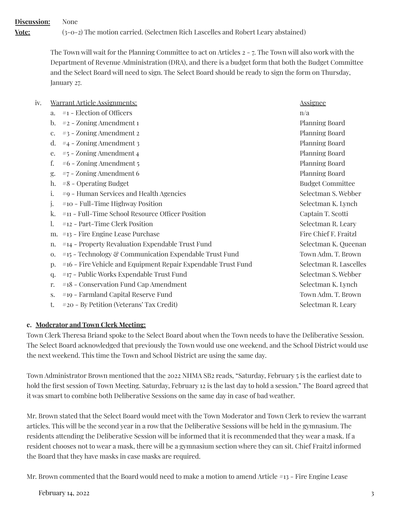**Discussion:** None **Vote:** (3-0-2) The motion carried. (Selectmen Rich Lascelles and Robert Leary abstained)

> The Town will wait for the Planning Committee to act on Articles 2 - 7. The Town will also work with the Department of Revenue Administration (DRA), and there is a budget form that both the Budget Committee and the Select Board will need to sign. The Select Board should be ready to sign the form on Thursday, January 27.

| iv. |                | <u>Warrant Article Assignments:</u>                           | <u>Assignee</u>         |
|-----|----------------|---------------------------------------------------------------|-------------------------|
|     | a.             | #1 - Election of Officers                                     | n/a                     |
|     | $\mathbf{b}$ . | $#2$ – Zoning Amendment 1                                     | <b>Planning Board</b>   |
|     | c.             | #3 - Zoning Amendment 2                                       | Planning Board          |
|     | d.             | $#4$ – Zoning Amendment 3                                     | <b>Planning Board</b>   |
|     | e.             | $#5$ – Zoning Amendment 4                                     | <b>Planning Board</b>   |
|     | f.             | #6 - Zoning Amendment 5                                       | <b>Planning Board</b>   |
|     | g.             | #7 - Zoning Amendment 6                                       | <b>Planning Board</b>   |
|     | h.             | #8 - Operating Budget                                         | <b>Budget Committee</b> |
|     | i.             | #9 - Human Services and Health Agencies                       | Selectman S. Webber     |
|     | j.             | #10 - Full-Time Highway Position                              | Selectman K. Lynch      |
|     | k.             | #11 - Full-Time School Resource Officer Position              | Captain T. Scotti       |
|     | 1.             | #12 - Part-Time Clerk Position                                | Selectman R. Leary      |
|     | m.             | #13 - Fire Engine Lease Purchase                              | Fire Chief F. Fraitzl   |
|     | n.             | #14 - Property Revaluation Expendable Trust Fund              | Selectman K. Queenan    |
|     | 0.             | #15 - Technology & Communication Expendable Trust Fund        | Town Adm. T. Brown      |
|     | p.             | #16 - Fire Vehicle and Equipment Repair Expendable Trust Fund | Selectman R. Lascelles  |
|     | q.             | #17 - Public Works Expendable Trust Fund                      | Selectman S. Webber     |
|     | r.             | #18 - Conservation Fund Cap Amendment                         | Selectman K. Lynch      |
|     | S.             | #19 - Farmland Capital Reserve Fund                           | Town Adm. T. Brown      |
|     | t.             | #20 - By Petition (Veterans' Tax Credit)                      | Selectman R. Leary      |
|     |                |                                                               |                         |

# **c. Moderator and Town Clerk Meeting:**

Town Clerk Theresa Briand spoke to the Select Board about when the Town needs to have the Deliberative Session. The Select Board acknowledged that previously the Town would use one weekend, and the School District would use the next weekend. This time the Town and School District are using the same day.

Town Administrator Brown mentioned that the 2022 NHMA SB2 reads, "Saturday, February 5 is the earliest date to hold the first session of Town Meeting. Saturday, February 12 is the last day to hold a session." The Board agreed that it was smart to combine both Deliberative Sessions on the same day in case of bad weather.

Mr. Brown stated that the Select Board would meet with the Town Moderator and Town Clerk to review the warrant articles. This will be the second year in a row that the Deliberative Sessions will be held in the gymnasium. The residents attending the Deliberative Session will be informed that it is recommended that they wear a mask. If a resident chooses not to wear a mask, there will be a gymnasium section where they can sit. Chief Fraitzl informed the Board that they have masks in case masks are required.

Mr. Brown commented that the Board would need to make a motion to amend Article #13 - Fire Engine Lease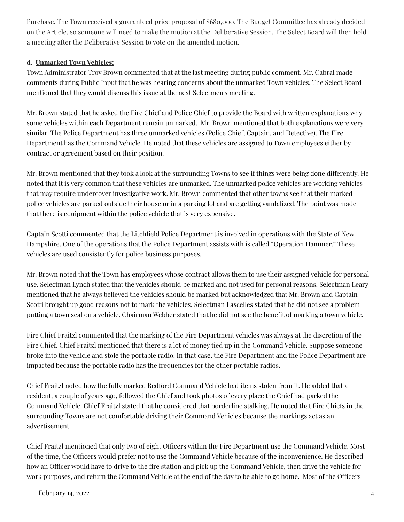Purchase. The Town received a guaranteed price proposal of \$680,000. The Budget Committee has already decided on the Article, so someone will need to make the motion at the Deliberative Session. The Select Board will then hold a meeting after the Deliberative Session to vote on the amended motion.

# **d. Unmarked Town Vehicles:**

Town Administrator Troy Brown commented that at the last meeting during public comment, Mr. Cabral made comments during Public Input that he was hearing concerns about the unmarked Town vehicles. The Select Board mentioned that they would discuss this issue at the next Selectmen's meeting.

Mr. Brown stated that he asked the Fire Chief and Police Chief to provide the Board with written explanations why some vehicles within each Department remain unmarked. Mr. Brown mentioned that both explanations were very similar. The Police Department has three unmarked vehicles (Police Chief, Captain, and Detective). The Fire Department has the Command Vehicle. He noted that these vehicles are assigned to Town employees either by contract or agreement based on their position.

Mr. Brown mentioned that they took a look at the surrounding Towns to see if things were being done differently. He noted that it is very common that these vehicles are unmarked. The unmarked police vehicles are working vehicles that may require undercover investigative work. Mr. Brown commented that other towns see that their marked police vehicles are parked outside their house or in a parking lot and are getting vandalized. The point was made that there is equipment within the police vehicle that is very expensive.

Captain Scotti commented that the Litchfield Police Department is involved in operations with the State of New Hampshire. One of the operations that the Police Department assists with is called "Operation Hammer." These vehicles are used consistently for police business purposes.

Mr. Brown noted that the Town has employees whose contract allows them to use their assigned vehicle for personal use. Selectman Lynch stated that the vehicles should be marked and not used for personal reasons. Selectman Leary mentioned that he always believed the vehicles should be marked but acknowledged that Mr. Brown and Captain Scotti brought up good reasons not to mark the vehicles. Selectman Lascelles stated that he did not see a problem putting a town seal on a vehicle. Chairman Webber stated that he did not see the benefit of marking a town vehicle.

Fire Chief Fraitzl commented that the marking of the Fire Department vehicles was always at the discretion of the Fire Chief. Chief Fraitzl mentioned that there is a lot of money tied up in the Command Vehicle. Suppose someone broke into the vehicle and stole the portable radio. In that case, the Fire Department and the Police Department are impacted because the portable radio has the frequencies for the other portable radios.

Chief Fraitzl noted how the fully marked Bedford Command Vehicle had items stolen from it. He added that a resident, a couple of years ago, followed the Chief and took photos of every place the Chief had parked the Command Vehicle. Chief Fraitzl stated that he considered that borderline stalking. He noted that Fire Chiefs in the surrounding Towns are not comfortable driving their Command Vehicles because the markings act as an advertisement.

Chief Fraitzl mentioned that only two of eight Officers within the Fire Department use the Command Vehicle. Most of the time, the Officers would prefer not to use the Command Vehicle because of the inconvenience. He described how an Officer would have to drive to the fire station and pick up the Command Vehicle, then drive the vehicle for work purposes, and return the Command Vehicle at the end of the day to be able to go home. Most of the Officers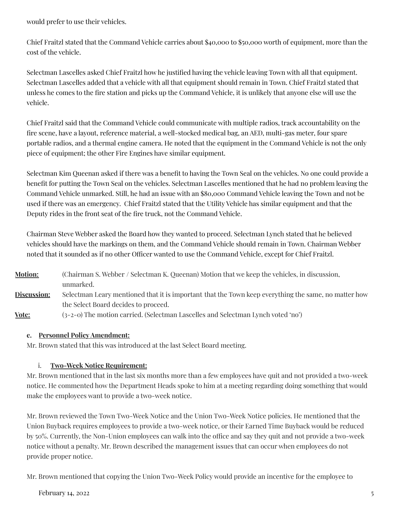would prefer to use their vehicles.

Chief Fraitzl stated that the Command Vehicle carries about \$40,000 to \$50,000 worth of equipment, more than the cost of the vehicle.

Selectman Lascelles asked Chief Fraitzl how he justified having the vehicle leaving Town with all that equipment. Selectman Lascelles added that a vehicle with all that equipment should remain in Town. Chief Fraitzl stated that unless he comes to the fire station and picks up the Command Vehicle, it is unlikely that anyone else will use the vehicle.

Chief Fraitzl said that the Command Vehicle could communicate with multiple radios, track accountability on the fire scene, have a layout, reference material, a well-stocked medical bag, an AED, multi-gas meter, four spare portable radios, and a thermal engine camera. He noted that the equipment in the Command Vehicle is not the only piece of equipment; the other Fire Engines have similar equipment.

Selectman Kim Queenan asked if there was a benefit to having the Town Seal on the vehicles. No one could provide a benefit for putting the Town Seal on the vehicles. Selectman Lascelles mentioned that he had no problem leaving the Command Vehicle unmarked. Still, he had an issue with an \$80,000 Command Vehicle leaving the Town and not be used if there was an emergency. Chief Fraitzl stated that the Utility Vehicle has similar equipment and that the Deputy rides in the front seat of the fire truck, not the Command Vehicle.

Chairman Steve Webber asked the Board how they wanted to proceed. Selectman Lynch stated that he believed vehicles should have the markings on them, and the Command Vehicle should remain in Town. Chairman Webber noted that it sounded as if no other Officer wanted to use the Command Vehicle, except for Chief Fraitzl.

**Motion:** (Chairman S. Webber / Selectman K. Queenan) Motion that we keep the vehicles, in discussion, unmarked. **Discussion:** Selectman Leary mentioned that it is important that the Town keep everything the same, no matter how the Select Board decides to proceed. **<u>Vote:</u>** (3-2-0) The motion carried. (Selectman Lascelles and Selectman Lynch voted 'no')

# **e. Personnel PolicyAmendment:**

Mr. Brown stated that this was introduced at the last Select Board meeting.

# i. **Two-Week Notice Requirement:**

Mr. Brown mentioned that in the last six months more than a few employees have quit and not provided a two-week notice. He commented how the Department Heads spoke to him at a meeting regarding doing something that would make the employees want to provide a two-week notice.

Mr. Brown reviewed the Town Two-Week Notice and the Union Two-Week Notice policies. He mentioned that the Union Buyback requires employees to provide a two-week notice, or their Earned Time Buyback would be reduced by 50%. Currently, the Non-Union employees can walk into the office and say they quit and not provide a two-week notice without a penalty. Mr. Brown described the management issues that can occur when employees do not provide proper notice.

Mr. Brown mentioned that copying the Union Two-Week Policy would provide an incentive for the employee to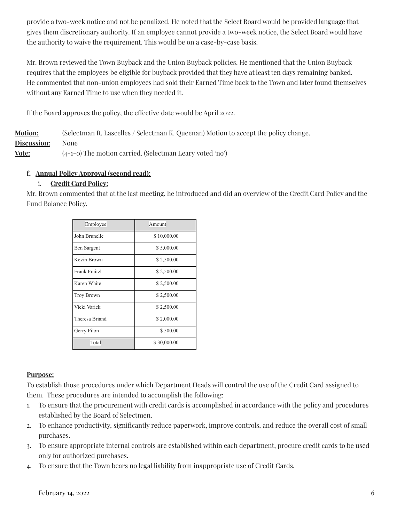provide a two-week notice and not be penalized. He noted that the Select Board would be provided language that gives them discretionary authority. If an employee cannot provide a two-week notice, the Select Board would have the authority to waive the requirement. This would be on a case-by-case basis.

Mr. Brown reviewed the Town Buyback and the Union Buyback policies. He mentioned that the Union Buyback requires that the employees be eligible for buyback provided that they have at least ten days remaining banked. He commented that non-union employees had sold their Earned Time back to the Town and later found themselves without any Earned Time to use when they needed it.

If the Board approves the policy, the effective date would be April 2022.

**Motion:** (Selectman R. Lascelles / Selectman K. Queenan) Motion to accept the policy change. **Discussion:** None **Vote:** (4-1-0) The motion carried. (Selectman Leary voted 'no')

# **f. Annual PolicyApproval (second read):**

# i. **Credit Card Policy:**

Mr. Brown commented that at the last meeting, he introduced and did an overview of the Credit Card Policy and the Fund Balance Policy.

| Employee             | Amount      |
|----------------------|-------------|
| John Brunelle        | \$10,000.00 |
| Ben Sargent          | \$5,000.00  |
| Kevin Brown          | \$2,500.00  |
| <b>Frank Fraitzl</b> | \$2,500.00  |
| Karen White          | \$2,500.00  |
| <b>Troy Brown</b>    | \$2,500.00  |
| Vicki Varick         | \$2,500.00  |
| Theresa Briand       | \$2,000.00  |
| Gerry Pilon          | \$500.00    |
| Total                | \$30,000.00 |

# **Purpose:**

To establish those procedures under which Department Heads will control the use of the Credit Card assigned to them. These procedures are intended to accomplish the following:

- 1. To ensure that the procurement with credit cards is accomplished in accordance with the policy and procedures established by the Board of Selectmen.
- 2. To enhance productivity, significantly reduce paperwork, improve controls, and reduce the overall cost of small purchases.
- 3. To ensure appropriate internal controls are established within each department, procure credit cards to be used only for authorized purchases.
- 4. To ensure that the Town bears no legal liability from inappropriate use of Credit Cards.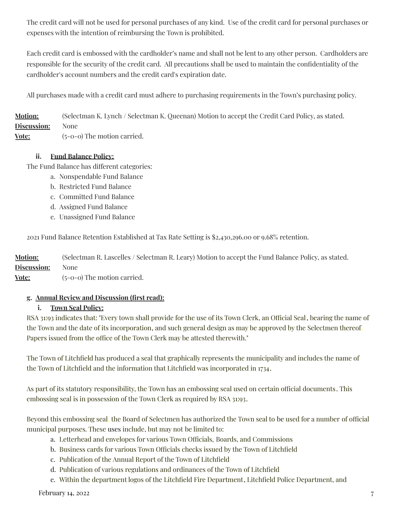The credit card will not be used for personal purchases of any kind. Use of the credit card for personal purchases or expenses with the intention of reimbursing the Town is prohibited.

Each credit card is embossed with the cardholder's name and shall not be lent to any other person. Cardholders are responsible for the security of the credit card. All precautions shall be used to maintain the confidentiality of the cardholder's account numbers and the credit card's expiration date.

All purchases made with a credit card must adhere to purchasing requirements in the Town's purchasing policy.

**Motion:** (Selectman K. Lynch / Selectman K. Queenan) Motion to accept the Credit Card Policy, as stated. **Discussion:** None **Vote:** (5-0-0) The motion carried.

### **ii. Fund Balance Policy:**

The Fund Balance has different categories:

- a. Nonspendable Fund Balance
- b. Restricted Fund Balance
- c. Committed Fund Balance
- d. Assigned Fund Balance
- e. Unassigned Fund Balance

2021 Fund Balance Retention Established at Tax Rate Setting is \$2,430,296.00 or 9.68% retention.

**Motion:** (Selectman R. Lascelles / Selectman R. Leary) Motion to accept the Fund Balance Policy, as stated. **Discussion:** None

**Vote:** (5-0-0) The motion carried.

#### **g. Annual Review and Discussion (first read):**

#### **i. Town Seal Policy:**

RSA 31:93 indicates that: "Every town shall provide for the use of its Town Clerk, an Official Seal, bearing the name of the Town and the date of its incorporation, and such general design as may be approved by the Selectmen thereof. Papers issued from the office of the Town Clerk may be attested therewith."

The Town of Litchfield has produced a seal that graphically represents the municipality and includes the name of the Town of Litchfield and the information that Litchfield was incorporated in 1734.

As part of its statutory responsibility, the Town has an embossing seal used on certain official documents. This embossing seal is in possession of the Town Clerk as required by RSA 31:93.

Beyond this embossing seal, the Board of Selectmen has authorized the Town seal to be used for a number of official municipal purposes. These uses include, but may not be limited to:

- a. Letterhead and envelopes for various Town Officials, Boards, and Commissions
- b. Business cards for various Town Officials checks issued by the Town of Litchfield
- c. Publication of the Annual Report of the Town of Litchfield
- d. Publication of various regulations and ordinances of the Town of Litchfield
- e. Within the department logos of the Litchfield Fire Department, Litchfield Police Department, and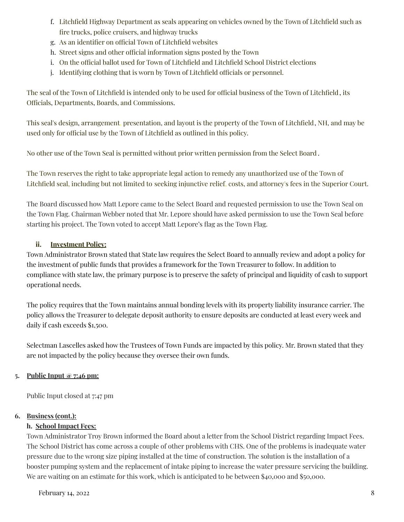- f. Litchfield Highway Department as seals appearing on vehicles owned by the Town of Litchfield such as fire trucks, police cruisers, and highway trucks
- g. As an identifier on official Town of Litchfield websites
- h. Street signs and other official information signs posted by the Town
- i. On the official ballot used for Town of Litchfield and Litchfield School District elections
- j. Identifying clothing that is worn by Town of Litchfield officials or personnel.

The seal of the Town of Litchfield is intended only to be used for official business of the Town of Litchfield, its Officials, Departments, Boards, and Commissions.

This seal's design, arrangement, presentation, and layout is the property of the Town of Litchfield, NH, and may be used only for official use by the Town of Litchfield as outlined in this policy.

No other use of the Town Seal is permitted without prior written permission from the Select Board .

The Town reserves the right to take appropriate legal action to remedy any unauthorized use of the Town of Litchfield seal, including but not limited to seeking injunctive relief, costs, and attorney's fees in the Superior Court.

The Board discussed how Matt Lepore came to the Select Board and requested permission to use the Town Seal on the Town Flag. Chairman Webber noted that Mr. Lepore should have asked permission to use the Town Seal before starting his project. The Town voted to accept Matt Lepore's flag as the Town Flag.

# **ii. Investment Policy:**

Town Administrator Brown stated that State law requires the Select Board to annually review and adopt a policy for the investment of public funds that provides a framework for the Town Treasurer to follow. In addition to compliance with state law, the primary purpose is to preserve the safety of principal and liquidity of cash to support operational needs.

The policy requires that the Town maintains annual bonding levels with its property liability insurance carrier. The policy allows the Treasurer to delegate deposit authority to ensure deposits are conducted at least every week and daily if cash exceeds \$1,500.

Selectman Lascelles asked how the Trustees of Town Funds are impacted by this policy. Mr. Brown stated that they are not impacted by the policy because they oversee their own funds.

# **5. Public Input @ 7:46 pm:**

Public Input closed at 7:47 pm

# **6. Business (cont.):**

# **h. School Impact Fees:**

Town Administrator Troy Brown informed the Board about a letter from the School District regarding Impact Fees. The School District has come across a couple of other problems with CHS. One of the problems is inadequate water pressure due to the wrong size piping installed at the time of construction. The solution is the installation of a booster pumping system and the replacement of intake piping to increase the water pressure servicing the building. We are waiting on an estimate for this work, which is anticipated to be between \$40,000 and \$50,000.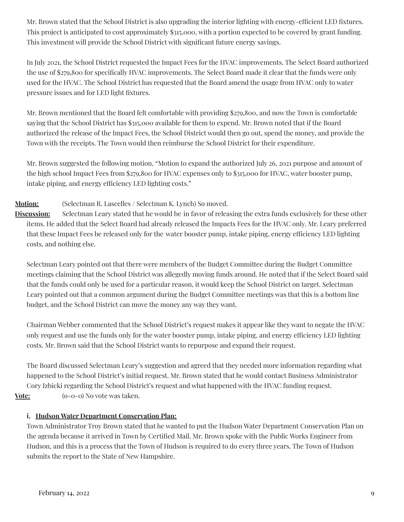Mr. Brown stated that the School District is also upgrading the interior lighting with energy-efficient LED fixtures. This project is anticipated to cost approximately \$315,000, with a portion expected to be covered by grant funding. This investment will provide the School District with significant future energy savings.

In July 2021, the School District requested the Impact Fees for the HVAC improvements. The Select Board authorized the use of \$279,800 for specifically HVAC improvements. The Select Board made it clear that the funds were only used for the HVAC. The School District has requested that the Board amend the usage from HVAC only to water pressure issues and for LED light fixtures.

Mr. Brown mentioned that the Board felt comfortable with providing \$279,800, and now the Town is comfortable saying that the School District has \$315,000 available for them to expend. Mr. Brown noted that if the Board authorized the release of the Impact Fees, the School District would then go out, spend the money, and provide the Town with the receipts. The Town would then reimburse the School District for their expenditure.

Mr. Brown suggested the following motion, "Motion to expand the authorized July 26, 2021 purpose and amount of the high school Impact Fees from \$279,800 for HVAC expenses only to \$315,000 for HVAC, water booster pump, intake piping, and energy efficiency LED lighting costs."

# **Motion:** (Selectman R. Lascelles / Selectman K. Lynch) So moved.

**Discussion:** Selectman Leary stated that he would be in favor of releasing the extra funds exclusively for these other items. He added that the Select Board had already released the Impacts Fees for the HVAC only. Mr. Leary preferred that these Impact Fees be released only for the water booster pump, intake piping, energy efficiency LED lighting costs, and nothing else.

Selectman Leary pointed out that there were members of the Budget Committee during the Budget Committee meetings claiming that the School District was allegedly moving funds around. He noted that if the Select Board said that the funds could only be used for a particular reason, it would keep the School District on target. Selectman Leary pointed out that a common argument during the Budget Committee meetings was that this is a bottom line budget, and the School District can move the money any way they want.

Chairman Webber commented that the School District's request makes it appear like they want to negate the HVAC only request and use the funds only for the water booster pump, intake piping, and energy efficiency LED lighting costs. Mr. Brown said that the School District wants to repurpose and expand their request.

The Board discussed Selectman Leary's suggestion and agreed that they needed more information regarding what happened to the School District's initial request. Mr. Brown stated that he would contact Business Administrator Cory Izbicki regarding the School District's request and what happened with the HVAC funding request. **Vote:** (o-0-0) No vote was taken.

# **i. Hudson Water Department Conservation Plan:**

Town Administrator Troy Brown stated that he wanted to put the Hudson Water Department Conservation Plan on the agenda because it arrived in Town by Certified Mail. Mr. Brown spoke with the Public Works Engineer from Hudson, and this is a process that the Town of Hudson is required to do every three years. The Town of Hudson submits the report to the State of New Hampshire.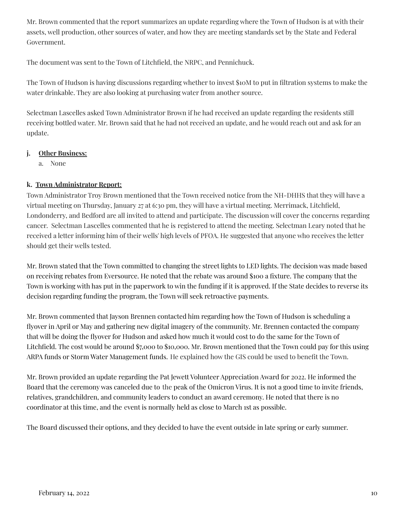Mr. Brown commented that the report summarizes an update regarding where the Town of Hudson is at with their assets, well production, other sources of water, and how they are meeting standards set by the State and Federal Government.

The document was sent to the Town of Litchfield, the NRPC, and Pennichuck.

The Town of Hudson is having discussions regarding whether to invest \$10M to put in filtration systems to make the water drinkable. They are also looking at purchasing water from another source.

Selectman Lascelles asked Town Administrator Brown if he had received an update regarding the residents still receiving bottled water. Mr. Brown said that he had not received an update, and he would reach out and ask for an update.

## **j. Other Business:**

a. None

# **k. Town Administrator Report:**

Town Administrator Troy Brown mentioned that the Town received notice from the NH-DHHS that they will have a virtual meeting on Thursday, January 27 at 6:30 pm, they will have a virtual meeting. Merrimack, Litchfield, Londonderry, and Bedford are all invited to attend and participate. The discussion will cover the concerns regarding cancer. Selectman Lascelles commented that he is registered to attend the meeting. Selectman Leary noted that he received a letter informing him of their wells' high levels of PFOA. He suggested that anyone who receives the letter should get their wells tested.

Mr. Brown stated that the Town committed to changing the street lights to LED lights. The decision was made based on receiving rebates from Eversource. He noted that the rebate was around \$100 a fixture. The company that the Town is working with has put in the paperwork to win the funding if it is approved. If the State decides to reverse its decision regarding funding the program, the Town will seek retroactive payments.

Mr. Brown commented that Jayson Brennen contacted him regarding how the Town of Hudson is scheduling a flyover in April or May and gathering new digital imagery of the community. Mr. Brennen contacted the company that will be doing the flyover for Hudson and asked how much it would cost to do the same for the Town of Litchfield. The cost would be around \$7,000 to \$10,000. Mr. Brown mentioned that the Town could pay for this using ARPA funds or Storm Water Management funds. He explained how the GIS could be used to benefit the Town.

Mr. Brown provided an update regarding the Pat Jewett Volunteer Appreciation Award for 2022. He informed the Board that the ceremony was canceled due to the peak of the Omicron Virus. It is not a good time to invite friends, relatives, grandchildren, and community leaders to conduct an award ceremony. He noted that there is no coordinator at this time, and the event is normally held as close to March 1st as possible.

The Board discussed their options, and they decided to have the event outside in late spring or early summer.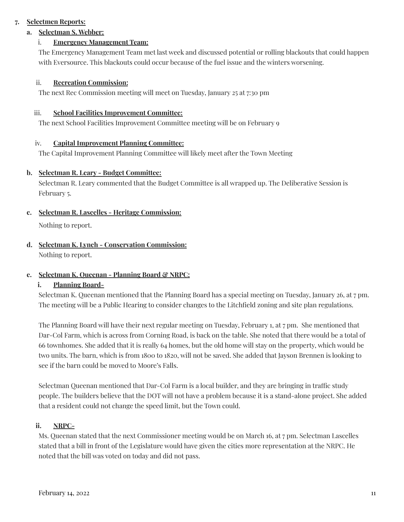## **7. Selectmen Reports:**

# **a. Selectman S. Webber:**

## i. **Emergency Management Team:**

The Emergency Management Team met last week and discussed potential or rolling blackouts that could happen with Eversource. This blackouts could occur because of the fuel issue and the winters worsening.

### ii. **Recreation Commission:**

The next Rec Commission meeting will meet on Tuesday, January 25 at 7:30 pm

### iii. **School Facilities Improvement Committee:**

The next School Facilities Improvement Committee meeting will be on February 9

### iv. **Capital Improvement Planning Committee:**

The Capital Improvement Planning Committee will likely meet after the Town Meeting

### **b. Selectman R. Leary - Budget Committee:**

Selectman R. Leary commented that the Budget Committee is all wrapped up. The Deliberative Session is February 5.

### **c. Selectman R. Lascelles - Heritage Commission:**

Nothing to report.

## **d. Selectman K. Lynch - Conservation Commission:** Nothing to report.

### **e. Selectman K. Queenan - Planning Board & NRPC:**

### **i. Planning Board-**

Selectman K. Queenan mentioned that the Planning Board has a special meeting on Tuesday, January 26, at 7 pm. The meeting will be a Public Hearing to consider changes to the Litchfield zoning and site plan regulations.

The Planning Board will have their next regular meeting on Tuesday, February 1, at 7 pm. She mentioned that Dar-Col Farm, which is across from Corning Road, is back on the table. She noted that there would be a total of 66 townhomes. She added that it is really 64 homes, but the old home will stay on the property, which would be two units. The barn, which is from 1800 to 1820, will not be saved. She added that Jayson Brennen is looking to see if the barn could be moved to Moore's Falls.

Selectman Queenan mentioned that Dar-Col Farm is a local builder, and they are bringing in traffic study people. The builders believe that the DOT will not have a problem because it is a stand-alone project. She added that a resident could not change the speed limit, but the Town could.

### **ii. NRPC-**

Ms. Queenan stated that the next Commissioner meeting would be on March 16, at 7 pm. Selectman Lascelles stated that a bill in front of the Legislature would have given the cities more representation at the NRPC. He noted that the bill was voted on today and did not pass.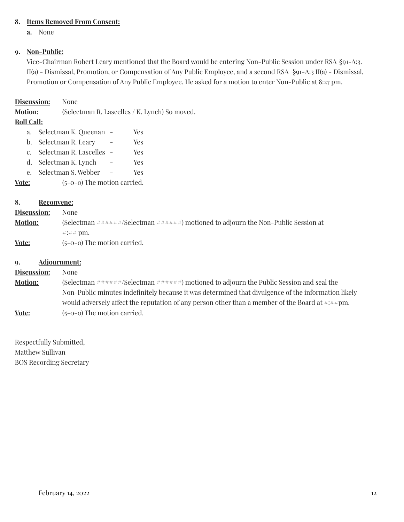### **8. Items Removed From Consent:**

**a.** None

### **9. Non-Public:**

Vice-Chairman Robert Leary mentioned that the Board would be entering Non-Public Session under RSA §91-A:3. II(a) - Dismissal, Promotion, or Compensation of Any Public Employee, and a second RSA §91-A:3 II(a) - Dismissal, Promotion or Compensation of Any Public Employee. He asked for a motion to enter Non-Public at 8:27 pm.

#### **Discussion:** None

**Motion:** (Selectman R. Lascelles / K. Lynch) So moved.

### **Roll Call:**

a. Selectman K. Queenan - Yes b. Selectman R. Leary - Yes c. Selectman R. Lascelles - Yes d. Selectman K. Lynch - Yes e. Selectman S. Webber - Yes **Vote:** (5-0-0) The motion carried.

### **8. Reconvene:**

| <b>Discussion:</b> | None                                                                                                    |
|--------------------|---------------------------------------------------------------------------------------------------------|
| <b>Motion:</b>     | (Selectman $\# \# \# \# \#$ /Selectman $\# \# \# \# \#$ ) motioned to adjourn the Non-Public Session at |
|                    | # $\pm$ ## pm.                                                                                          |
| Vote:              | $(5-0-0)$ The motion carried.                                                                           |

#### **9. Adjournment:**

# **Discussion:** None **Motion:** (Selectman ######/Selectman ######) motioned to adjourn the Public Session and seal the Non-Public minutes indefinitely because it was determined that divulgence of the information likely would adversely affect the reputation of any person other than a member of the Board at  $\#:\# \nexists m$ . **Vote:** (5-0-0) The motion carried.

Respectfully Submitted, Matthew Sullivan BOS Recording Secretary